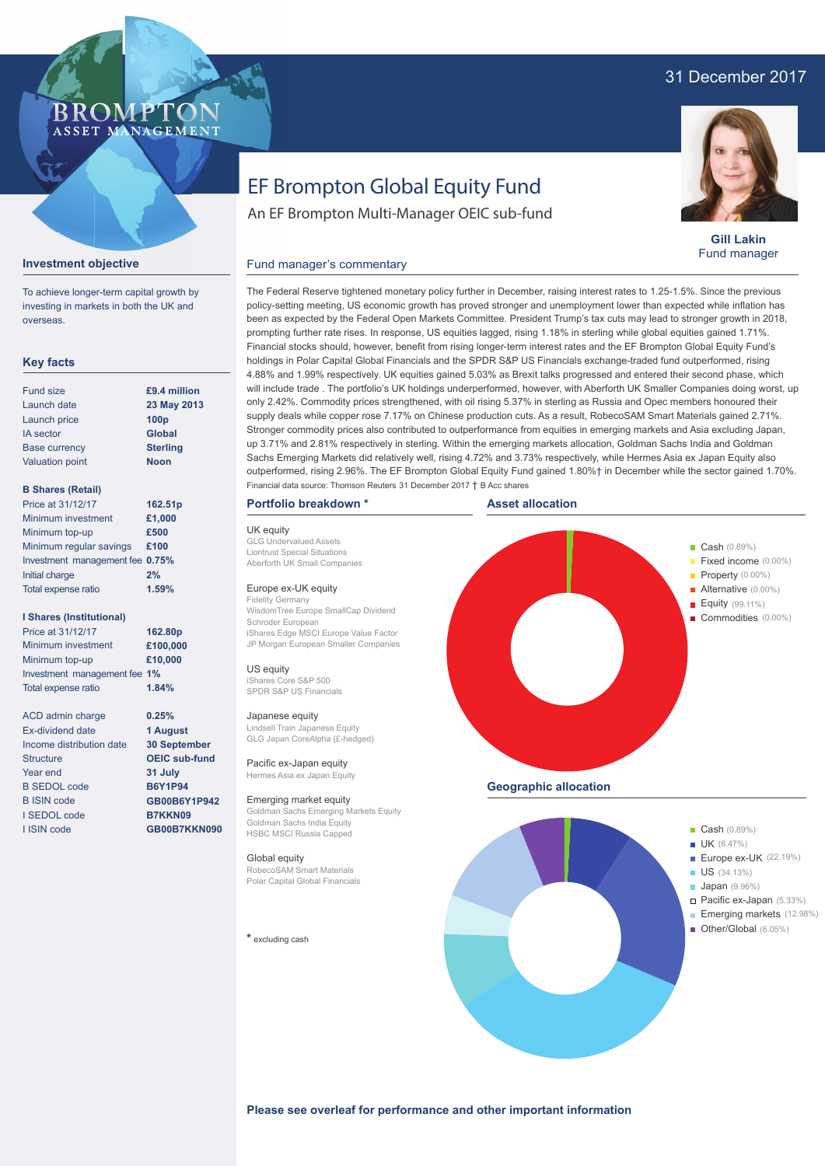### 31 December 2017



# EF Brompton Global Equity Fund

An EF Brompton Multi-Manager OEIC sub-fund



**Gill Lakin** Fund manager

#### Fund manager's commentary



To achieve longer-term capital growth by investing in markets in both the UK and overseas.

#### **Key facts**

| <b>Fund size</b>       | £9.4 million     |
|------------------------|------------------|
| Launch date            | 23 May 2013      |
| Launch price           | 100 <sub>p</sub> |
| <b>IA</b> sector       | <b>Global</b>    |
| <b>Base currency</b>   | <b>Sterling</b>  |
| <b>Valuation point</b> | <b>Noon</b>      |
|                        |                  |

#### **B Shares (Retail)**

| Price at 31/12/17               | 162.51p |
|---------------------------------|---------|
| Minimum investment              | £1,000  |
| Minimum top-up                  | £500    |
| Minimum regular savings         | £100    |
| Investment management fee 0.75% |         |
| Initial charge                  | 2%      |
| Total expense ratio             | 1.59%   |
|                                 |         |

#### **I Shares (Institutional)**

Minimum investment Minimum top-up Investment management fee **1%** Total expense ratio **£100,000 £10,000** Price at 31/12/17 **162.80p 1.84%**

> **0.25% 1 August 30 September OEIC sub-fund 31 July B6Y1P94 GB00B6Y1P942 B7KKN09 GB00B7KKN090**

ACD admin charge Ex-dividend date Income distribution date Structure Year end B SEDOL code B ISIN code I SEDOL code I ISIN code

The Federal Reserve tightened monetary policy further in December, raising interest rates to 1.25-1.5%. Since the previous policy-setting meeting, US economic growth has proved stronger and unemployment lower than expected while inflation has been as expected by the Federal Open Markets Committee. President Trump's tax cuts may lead to stronger growth in 2018, prompting further rate rises. In response, US equities lagged, rising 1.18% in sterling while global equities gained 1.71%. Financial stocks should, however, benefit from rising longer-term interest rates and the EF Brompton Global Equity Fund's holdings in Polar Capital Global Financials and the SPDR S&P US Financials exchange-traded fund outperformed, rising 4.88% and 1.99% respectively. UK equities gained 5.03% as Brexit talks progressed and entered their second phase, which will include trade . The portfolio's UK holdings underperformed, however, with Aberforth UK Smaller Companies doing worst, up only 2.42%. Commodity prices strengthened, with oil rising 5.37% in sterling as Russia and Opec members honoured their supply deals while copper rose 7.17% on Chinese production cuts. As a result, RobecoSAM Smart Materials gained 2.71%. Stronger commodity prices also contributed to outperformance from equities in emerging markets and Asia excluding Japan, up 3.71% and 2.81% respectively in sterling. Within the emerging markets allocation, Goldman Sachs India and Goldman Sachs Emerging Markets did relatively well, rising 4.72% and 3.73% respectively, while Hermes Asia ex Japan Equity also outperformed, rising 2.96%. The EF Brompton Global Equity Fund gained 1.80%† in December while the sector gained 1.70%. Financial data source: Thomson Reuters 31 December 2017 † B Acc shares

#### **Portfolio breakdown \***

UK equity GLG Undervalued Assets Liontrust Special Situations Aberforth UK Small Companies

#### Europe ex-UK equity

Fidelity Germany WisdomTree Europe SmallCap Dividend Schroder European iShares Edge MSCI Europe Value Factor JP Morgan European Smaller Companies

US equity iShares Core S&P 500 SPDR S&P US Financials

#### Japanese equity

Lindsell Train Japanese Equity GLG Japan CoreAlpha (£-hedged)

Pacific ex-Japan equity Hermes Asia ex Japan Equity

Emerging market equity Goldman Sachs Emerging Markets Equity Goldman Sachs India Equity HSBC MSCI Russia Capped

#### Global equity

RobecoSAM Smart Materials Polar Capital Global Financials

**\*** excluding cash





Europe ex-UK (22.19%)

- 
- 
- Pacific ex-Japan (5.33%) Emerging markets (12.98%)
- 
- **UK** (8.47%) US (34.13%) **Japan** (9.96%) Марка (6.05%) — Other/Global (6.05%) í